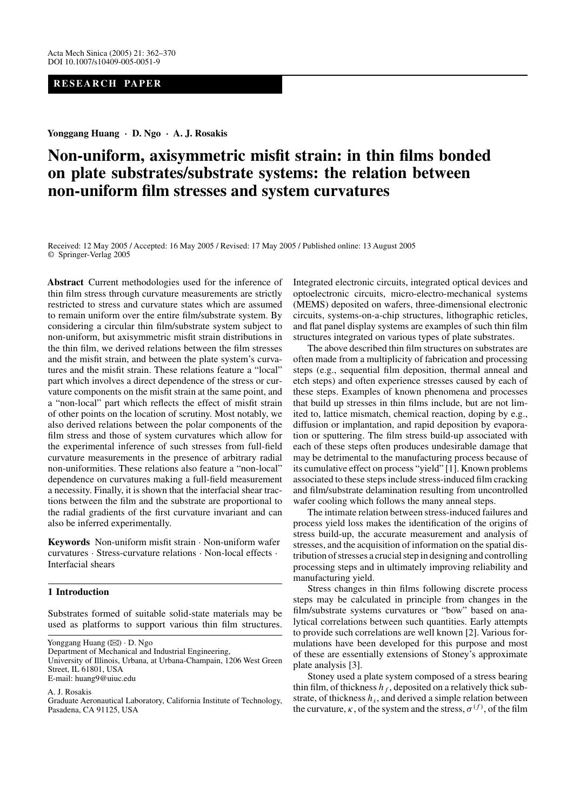## **RESEARCH PAPER**

**Yonggang Huang** *·* **D. Ngo** *·* **A. J. Rosakis**

# **Non-uniform, axisymmetric misfit strain: in thin films bonded on plate substrates/substrate systems: the relation between non-uniform film stresses and system curvatures**

Received: 12 May 2005 / Accepted: 16 May 2005 / Revised: 17 May 2005 / Published online: 13 August 2005 © Springer-Verlag 2005

**Abstract** Current methodologies used for the inference of thin film stress through curvature measurements are strictly restricted to stress and curvature states which are assumed to remain uniform over the entire film/substrate system. By considering a circular thin film/substrate system subject to non-uniform, but axisymmetric misfit strain distributions in the thin film, we derived relations between the film stresses and the misfit strain, and between the plate system's curvatures and the misfit strain. These relations feature a "local" part which involves a direct dependence of the stress or curvature components on the misfit strain at the same point, and a "non-local" part which reflects the effect of misfit strain of other points on the location of scrutiny. Most notably, we also derived relations between the polar components of the film stress and those of system curvatures which allow for the experimental inference of such stresses from full-field curvature measurements in the presence of arbitrary radial non-uniformities. These relations also feature a "non-local" dependence on curvatures making a full-field measurement a necessity. Finally, it is shown that the interfacial shear tractions between the film and the substrate are proportional to the radial gradients of the first curvature invariant and can also be inferred experimentally.

**Keywords** Non-uniform misfit strain · Non-uniform wafer curvatures · Stress-curvature relations · Non-local effects · Interfacial shears

### **1 Introduction**

Substrates formed of suitable solid-state materials may be used as platforms to support various thin film structures.

Yonggang Huang ( $\boxtimes$ ) · D. Ngo

Department of Mechanical and Industrial Engineering,

University of Illinois, Urbana, at Urbana-Champain, 1206 West Green Street, IL 61801, USA

E-mail: huang9@uiuc.edu

A. J. Rosakis

Graduate Aeronautical Laboratory, California Institute of Technology, Pasadena, CA 91125, USA

Integrated electronic circuits, integrated optical devices and optoelectronic circuits, micro-electro-mechanical systems (MEMS) deposited on wafers, three-dimensional electronic circuits, systems-on-a-chip structures, lithographic reticles, and flat panel display systems are examples of such thin film structures integrated on various types of plate substrates.

The above described thin film structures on substrates are often made from a multiplicity of fabrication and processing steps (e.g., sequential film deposition, thermal anneal and etch steps) and often experience stresses caused by each of these steps. Examples of known phenomena and processes that build up stresses in thin films include, but are not limited to, lattice mismatch, chemical reaction, doping by e.g., diffusion or implantation, and rapid deposition by evaporation or sputtering. The film stress build-up associated with each of these steps often produces undesirable damage that may be detrimental to the manufacturing process because of its cumulative effect on process "yield" [1]. Known problems associated to these steps include stress-induced film cracking and film/substrate delamination resulting from uncontrolled wafer cooling which follows the many anneal steps.

The intimate relation between stress-induced failures and process yield loss makes the identification of the origins of stress build-up, the accurate measurement and analysis of stresses, and the acquisition of information on the spatial distribution of stresses a crucial step in designing and controlling processing steps and in ultimately improving reliability and manufacturing yield.

Stress changes in thin films following discrete process steps may be calculated in principle from changes in the film/substrate systems curvatures or "bow" based on analytical correlations between such quantities. Early attempts to provide such correlations are well known [2]. Various formulations have been developed for this purpose and most of these are essentially extensions of Stoney's approximate plate analysis [3].

Stoney used a plate system composed of a stress bearing thin film, of thickness  $h_f$ , deposited on a relatively thick substrate, of thickness  $h_s$ , and derived a simple relation between the curvature,  $\kappa$ , of the system and the stress,  $\sigma^{(f)}$ , of the film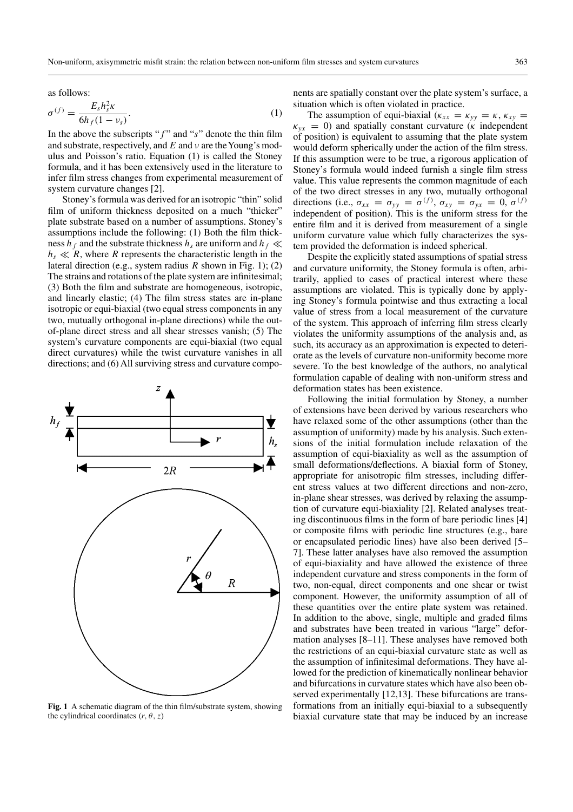as follows:

$$
\sigma^{(f)} = \frac{E_s h_s^2 \kappa}{6h_f(1 - v_s)}.
$$
\n(1)

In the above the subscripts " $f$ " and "s" denote the thin film and substrate, respectively, and E and  $\nu$  are the Young's modulus and Poisson's ratio. Equation (1) is called the Stoney formula, and it has been extensively used in the literature to infer film stress changes from experimental measurement of system curvature changes [2].

Stoney's formula was derived for an isotropic "thin" solid film of uniform thickness deposited on a much "thicker" plate substrate based on a number of assumptions. Stoney's assumptions include the following: (1) Both the film thickness  $h_f$  and the substrate thickness  $h_s$  are uniform and  $h_f \ll$  $h_s \ll R$ , where R represents the characteristic length in the lateral direction (e.g., system radius  $R$  shown in Fig. 1); (2) The strains and rotations of the plate system are infinitesimal; (3) Both the film and substrate are homogeneous, isotropic, and linearly elastic; (4) The film stress states are in-plane isotropic or equi-biaxial (two equal stress components in any two, mutually orthogonal in-plane directions) while the outof-plane direct stress and all shear stresses vanish; (5) The system's curvature components are equi-biaxial (two equal direct curvatures) while the twist curvature vanishes in all directions; and (6) All surviving stress and curvature compo-



**Fig. 1** A schematic diagram of the thin film/substrate system, showing the cylindrical coordinates  $(r, \theta, z)$ 

nents are spatially constant over the plate system's surface, a situation which is often violated in practice.

The assumption of equi-biaxial ( $\kappa_{xx} = \kappa_{yy} = \kappa$ ,  $\kappa_{xy} =$  $\kappa_{vx} = 0$ ) and spatially constant curvature (*κ* independent of position) is equivalent to assuming that the plate system would deform spherically under the action of the film stress. If this assumption were to be true, a rigorous application of Stoney's formula would indeed furnish a single film stress value. This value represents the common magnitude of each of the two direct stresses in any two, mutually orthogonal directions (i.e.,  $\sigma_{xx} = \sigma_{yy} = \sigma^{(f)}$ ,  $\sigma_{xy} = \sigma_{yx} = 0$ ,  $\sigma^{(f)}$ independent of position). This is the uniform stress for the entire film and it is derived from measurement of a single uniform curvature value which fully characterizes the system provided the deformation is indeed spherical.

Despite the explicitly stated assumptions of spatial stress and curvature uniformity, the Stoney formula is often, arbitrarily, applied to cases of practical interest where these assumptions are violated. This is typically done by applying Stoney's formula pointwise and thus extracting a local value of stress from a local measurement of the curvature of the system. This approach of inferring film stress clearly violates the uniformity assumptions of the analysis and, as such, its accuracy as an approximation is expected to deteriorate as the levels of curvature non-uniformity become more severe. To the best knowledge of the authors, no analytical formulation capable of dealing with non-uniform stress and deformation states has been existence.

Following the initial formulation by Stoney, a number of extensions have been derived by various researchers who have relaxed some of the other assumptions (other than the assumption of uniformity) made by his analysis. Such extensions of the initial formulation include relaxation of the assumption of equi-biaxiality as well as the assumption of small deformations/deflections. A biaxial form of Stoney, appropriate for anisotropic film stresses, including different stress values at two different directions and non-zero, in-plane shear stresses, was derived by relaxing the assumption of curvature equi-biaxiality [2]. Related analyses treating discontinuous films in the form of bare periodic lines [4] or composite films with periodic line structures (e.g., bare or encapsulated periodic lines) have also been derived [5– 7]. These latter analyses have also removed the assumption of equi-biaxiality and have allowed the existence of three independent curvature and stress components in the form of two, non-equal, direct components and one shear or twist component. However, the uniformity assumption of all of these quantities over the entire plate system was retained. In addition to the above, single, multiple and graded films and substrates have been treated in various "large" deformation analyses [8–11]. These analyses have removed both the restrictions of an equi-biaxial curvature state as well as the assumption of infinitesimal deformations. They have allowed for the prediction of kinematically nonlinear behavior and bifurcations in curvature states which have also been observed experimentally [12,13]. These bifurcations are transformations from an initially equi-biaxial to a subsequently biaxial curvature state that may be induced by an increase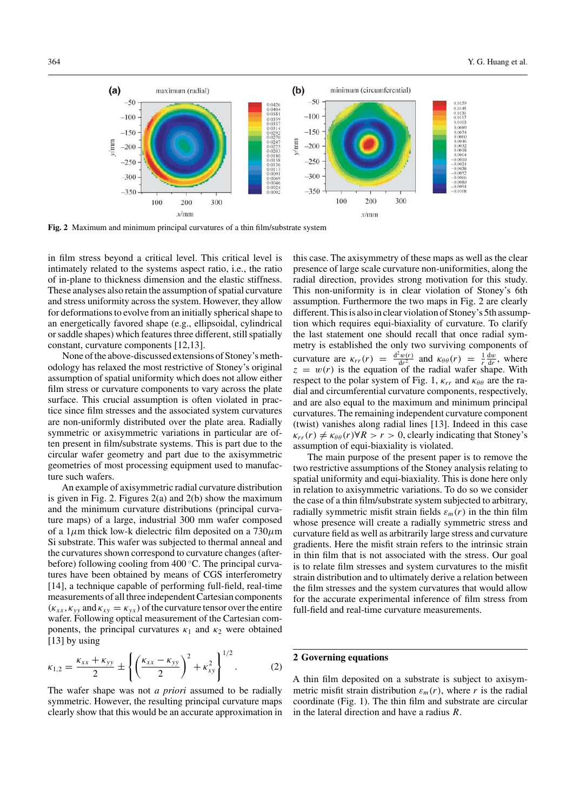

**Fig. 2** Maximum and minimum principal curvatures of a thin film/substrate system

in film stress beyond a critical level. This critical level is intimately related to the systems aspect ratio, i.e., the ratio of in-plane to thickness dimension and the elastic stiffness. These analyses also retain the assumption of spatial curvature and stress uniformity across the system. However, they allow for deformations to evolve from an initially spherical shape to an energetically favored shape (e.g., ellipsoidal, cylindrical or saddle shapes) which features three different, still spatially constant, curvature components [12,13].

None of the above-discussed extensions of Stoney's methodology has relaxed the most restrictive of Stoney's original assumption of spatial uniformity which does not allow either film stress or curvature components to vary across the plate surface. This crucial assumption is often violated in practice since film stresses and the associated system curvatures are non-uniformly distributed over the plate area. Radially symmetric or axisymmetric variations in particular are often present in film/substrate systems. This is part due to the circular wafer geometry and part due to the axisymmetric geometries of most processing equipment used to manufacture such wafers.

An example of axisymmetric radial curvature distribution is given in Fig. 2. Figures  $2(a)$  and  $2(b)$  show the maximum and the minimum curvature distributions (principal curvature maps) of a large, industrial 300 mm wafer composed of a 1 $\mu$ m thick low-k dielectric film deposited on a 730 $\mu$ m Si substrate. This wafer was subjected to thermal anneal and the curvatures shown correspond to curvature changes (afterbefore) following cooling from 400 ℃. The principal curvatures have been obtained by means of CGS interferometry [14], a technique capable of performing full-field, real-time measurements of all three independent Cartesian components  $(\kappa_{xx}, \kappa_{yy})$  and  $\kappa_{xy} = \kappa_{yx}$ ) of the curvature tensor over the entire wafer. Following optical measurement of the Cartesian components, the principal curvatures  $\kappa_1$  and  $\kappa_2$  were obtained [13] by using

$$
\kappa_{1,2} = \frac{\kappa_{xx} + \kappa_{yy}}{2} \pm \left\{ \left( \frac{\kappa_{xx} - \kappa_{yy}}{2} \right)^2 + \kappa_{xy}^2 \right\}^{1/2}.
$$
 (2)

The wafer shape was not *a priori* assumed to be radially symmetric. However, the resulting principal curvature maps clearly show that this would be an accurate approximation in this case. The axisymmetry of these maps as well as the clear presence of large scale curvature non-uniformities, along the radial direction, provides strong motivation for this study. This non-uniformity is in clear violation of Stoney's 6th assumption. Furthermore the two maps in Fig. 2 are clearly different.This is also in clear violation of Stoney's 5th assumption which requires equi-biaxiality of curvature. To clarify the last statement one should recall that once radial symmetry is established the only two surviving components of curvature are  $\kappa_{rr}(r) = \frac{d^2 w(r)}{dr^2}$  and  $\kappa_{\theta\theta}(r) = \frac{1}{r} \frac{dw}{dr}$ , where  $z = w(r)$  is the equation of the radial wafer shape. With respect to the polar system of Fig. 1,  $\kappa_{rr}$  and  $\kappa_{\theta\theta}$  are the radial and circumferential curvature components, respectively, and are also equal to the maximum and minimum principal curvatures. The remaining independent curvature component (twist) vanishes along radial lines [13]. Indeed in this case  $\kappa_{rr}(r) \neq \kappa_{\theta\theta}(r) \forall R>r>0$ , clearly indicating that Stoney's assumption of equi-biaxiality is violated.

The main purpose of the present paper is to remove the two restrictive assumptions of the Stoney analysis relating to spatial uniformity and equi-biaxiality. This is done here only in relation to axisymmetric variations. To do so we consider the case of a thin film/substrate system subjected to arbitrary, radially symmetric misfit strain fields  $\varepsilon_m(r)$  in the thin film whose presence will create a radially symmetric stress and curvature field as well as arbitrarily large stress and curvature gradients. Here the misfit strain refers to the intrinsic strain in thin film that is not associated with the stress. Our goal is to relate film stresses and system curvatures to the misfit strain distribution and to ultimately derive a relation between the film stresses and the system curvatures that would allow for the accurate experimental inference of film stress from full-field and real-time curvature measurements.

## **2 Governing equations**

A thin film deposited on a substrate is subject to axisymmetric misfit strain distribution  $\varepsilon_m(r)$ , where r is the radial coordinate (Fig. 1). The thin film and substrate are circular in the lateral direction and have a radius R.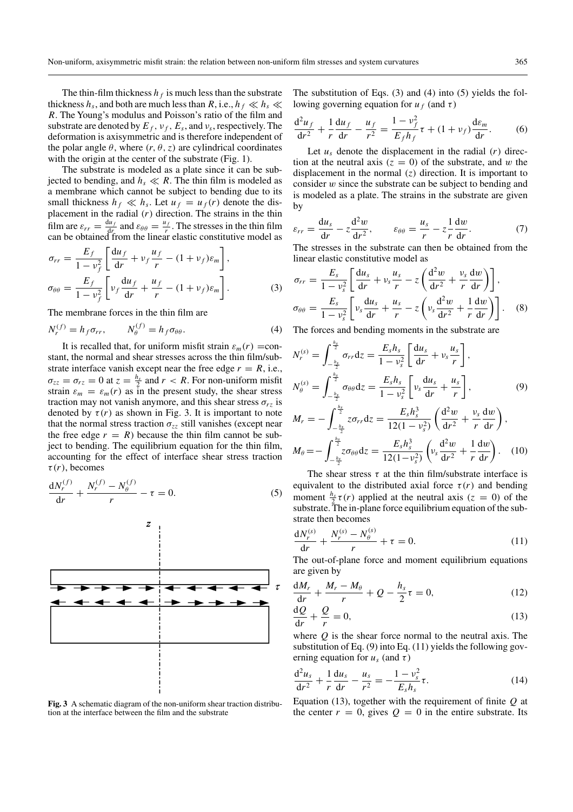The thin-film thickness  $h_f$  is much less than the substrate thickness  $h_s$ , and both are much less than  $R$ , i.e.,  $h_f \ll h_s \ll$ R. The Young's modulus and Poisson's ratio of the film and substrate are denoted by  $E_f$ ,  $v_f$ ,  $E_s$ , and  $v_s$ , respectively. The deformation is axisymmetric and is therefore independent of the polar angle  $\theta$ , where  $(r, \theta, z)$  are cylindrical coordinates with the origin at the center of the substrate (Fig. 1).

The substrate is modeled as a plate since it can be subjected to bending, and  $h_s \ll R$ . The thin film is modeled as a membrane which cannot be subject to bending due to its small thickness  $h_f \ll h_s$ . Let  $u_f = u_f(r)$  denote the displacement in the radial  $(r)$  direction. The strains in the thin film are  $\varepsilon_{rr} = \frac{du_f}{dr}$  and  $\varepsilon_{\theta\theta} = \frac{u_f}{r}$ . The stresses in the thin film can be obtained from the linear elastic constitutive model as

$$
\sigma_{rr} = \frac{E_f}{1 - \nu_f^2} \left[ \frac{du_f}{dr} + \nu_f \frac{u_f}{r} - (1 + \nu_f) \varepsilon_m \right],
$$
  
\n
$$
\sigma_{\theta\theta} = \frac{E_f}{1 - \nu_f^2} \left[ \nu_f \frac{du_f}{dr} + \frac{u_f}{r} - (1 + \nu_f) \varepsilon_m \right].
$$
\n(3)

The membrane forces in the thin film are

$$
N_r^{(f)} = h_f \sigma_{rr}, \qquad N_\theta^{(f)} = h_f \sigma_{\theta\theta}.
$$
 (4)

It is recalled that, for uniform misfit strain  $\varepsilon_m(r) =$ constant, the normal and shear stresses across the thin film/substrate interface vanish except near the free edge  $r = R$ , i.e.,  $\sigma_{zz} = \sigma_{rz} = 0$  at  $z = \frac{h_s}{2}$  and  $r < R$ . For non-uniform misfit strain  $\varepsilon_m = \varepsilon_m(r)$  as in the present study, the shear stress traction may not vanish anymore, and this shear stress  $\sigma_{rz}$  is denoted by  $\tau(r)$  as shown in Fig. 3. It is important to note that the normal stress traction  $\sigma_{zz}$  still vanishes (except near the free edge  $r = R$ ) because the thin film cannot be subject to bending. The equilibrium equation for the thin film, accounting for the effect of interface shear stress traction  $\tau(r)$ , becomes

$$
\frac{dN_r^{(f)}}{dr} + \frac{N_r^{(f)} - N_\theta^{(f)}}{r} - \tau = 0.
$$
 (5)



**Fig. 3** A schematic diagram of the non-uniform shear traction distribution at the interface between the film and the substrate

The substitution of Eqs. (3) and (4) into (5) yields the following governing equation for  $u_f$  (and  $\tau$ )

$$
\frac{d^2 u_f}{dr^2} + \frac{1}{r} \frac{du_f}{dr} - \frac{u_f}{r^2} = \frac{1 - v_f^2}{E_f h_f} \tau + (1 + v_f) \frac{d\varepsilon_m}{dr}.
$$
 (6)

Let  $u_s$  denote the displacement in the radial  $(r)$  direction at the neutral axis  $(z = 0)$  of the substrate, and w the displacement in the normal  $(z)$  direction. It is important to consider w since the substrate can be subject to bending and is modeled as a plate. The strains in the substrate are given by

$$
\varepsilon_{rr} = \frac{\mathrm{d}u_s}{\mathrm{d}r} - z\frac{\mathrm{d}^2w}{\mathrm{d}r^2}, \qquad \varepsilon_{\theta\theta} = \frac{u_s}{r} - z\frac{1}{r}\frac{\mathrm{d}w}{\mathrm{d}r}.\tag{7}
$$

The stresses in the substrate can then be obtained from the linear elastic constitutive model as

$$
\sigma_{rr} = \frac{E_s}{1 - \nu_s^2} \left[ \frac{\mathrm{d}u_s}{\mathrm{d}r} + \nu_s \frac{u_s}{r} - z \left( \frac{\mathrm{d}^2 w}{\mathrm{d}r^2} + \frac{\nu_s}{r} \frac{\mathrm{d}w}{\mathrm{d}r} \right) \right],
$$
  
\n
$$
\sigma_{\theta\theta} = \frac{E_s}{1 - \nu_s^2} \left[ \nu_s \frac{\mathrm{d}u_s}{\mathrm{d}r} + \frac{u_s}{r} - z \left( \nu_s \frac{\mathrm{d}^2 w}{\mathrm{d}r^2} + \frac{1}{r} \frac{\mathrm{d}w}{\mathrm{d}r} \right) \right].
$$
 (8)

The forces and bending moments in the substrate are

$$
N_r^{(s)} = \int_{-\frac{h_s}{2}}^{\frac{h_s}{2}} \sigma_{rr} dz = \frac{E_s h_s}{1 - v_s^2} \left[ \frac{du_s}{dr} + v_s \frac{u_s}{r} \right],
$$
  
\n
$$
N_\theta^{(s)} = \int_{-\frac{h_s}{2}}^{\frac{h_s}{2}} \sigma_{\theta\theta} dz = \frac{E_s h_s}{1 - v_s^2} \left[ v_s \frac{du_s}{dr} + \frac{u_s}{r} \right],
$$
  
\n
$$
M_r = -\int_{-\frac{h_s}{2}}^{\frac{h_s}{2}} z \sigma_{rr} dz = \frac{E_s h_s^3}{12(1 - v_s^2)} \left( \frac{d^2 w}{dr^2} + \frac{v_s}{r} \frac{dw}{dr} \right),
$$
  
\n
$$
M_\theta = -\int_{-\frac{h_s}{2}}^{\frac{h_s}{2}} z \sigma_{\theta\theta} dz = \frac{E_s h_s^3}{12(1 - v_s^2)} \left( v_s \frac{d^2 w}{dr^2} + \frac{1}{r} \frac{dw}{dr} \right).
$$
 (10)

The shear stress  $\tau$  at the thin film/substrate interface is equivalent to the distributed axial force  $\tau(r)$  and bending moment  $\frac{h_s}{2} \tau(r)$  applied at the neutral axis ( $z = 0$ ) of the substrate. The in-plane force equilibrium equation of the substrate then becomes

$$
\frac{dN_r^{(s)}}{dr} + \frac{N_r^{(s)} - N_\theta^{(s)}}{r} + \tau = 0.
$$
\n(11)

The out-of-plane force and moment equilibrium equations are given by

$$
\frac{dM_r}{dr} + \frac{M_r - M_\theta}{r} + Q - \frac{h_s}{2}\tau = 0,\tag{12}
$$

$$
\frac{\mathrm{d}Q}{\mathrm{d}r} + \frac{Q}{r} = 0,\tag{13}
$$

where  $Q$  is the shear force normal to the neutral axis. The substitution of Eq. (9) into Eq. (11) yields the following governing equation for  $u_s$  (and  $\tau$ )

$$
\frac{d^2 u_s}{dr^2} + \frac{1}{r} \frac{du_s}{dr} - \frac{u_s}{r^2} = -\frac{1 - v_s^2}{E_s h_s} \tau.
$$
 (14)

Equation (13), together with the requirement of finite  $Q$  at the center  $r = 0$ , gives  $Q = 0$  in the entire substrate. Its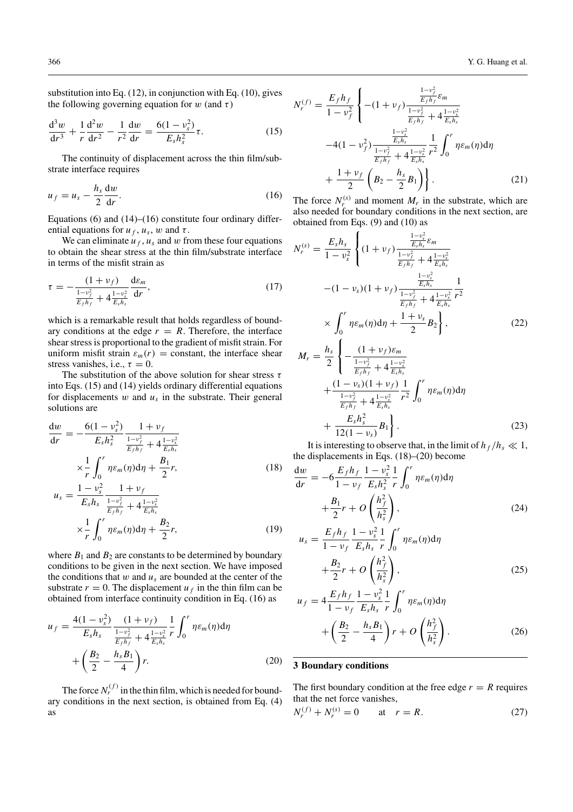substitution into Eq. (12), in conjunction with Eq. (10), gives the following governing equation for w (and  $\tau$ )

$$
\frac{d^3w}{dr^3} + \frac{1}{r}\frac{d^2w}{dr^2} - \frac{1}{r^2}\frac{dw}{dr} = \frac{6(1 - v_s^2)}{E_s h_s^2}\tau.
$$
 (15)

The continuity of displacement across the thin film/substrate interface requires

$$
u_f = u_s - \frac{h_s}{2} \frac{dw}{dr}.
$$
 (16)

Equations (6) and  $(14)$ – $(16)$  constitute four ordinary differential equations for  $u_f$ ,  $u_s$ , w and  $\tau$ .

We can eliminate  $u_f, u_s$  and w from these four equations to obtain the shear stress at the thin film/substrate interface in terms of the misfit strain as

$$
\tau = -\frac{(1+v_f)}{\frac{1-v_f^2}{E_f h_f} + 4\frac{1-v_s^2}{E_s h_s}} \frac{d\varepsilon_m}{dr},\tag{17}
$$

which is a remarkable result that holds regardless of boundary conditions at the edge  $r = R$ . Therefore, the interface shear stress is proportional to the gradient of misfit strain. For uniform misfit strain  $\varepsilon_m(r) =$  constant, the interface shear stress vanishes, i.e.,  $\tau = 0$ .

The substitution of the above solution for shear stress  $\tau$ into Eqs. (15) and (14) yields ordinary differential equations for displacements  $w$  and  $u_s$  in the substrate. Their general solutions are

$$
\frac{dw}{dr} = -\frac{6(1 - v_s^2)}{E_s h_s^2} \frac{1 + v_f}{\frac{1 - v_f^2}{E_f h_f} + 4\frac{1 - v_s^2}{E_s h_s}}
$$
\n
$$
\times \frac{1}{r} \int_0^r \eta \varepsilon_m(\eta) d\eta + \frac{B_1}{2} r,\tag{18}
$$

$$
u_{s} = \frac{1 - v_{s}^{2}}{E_{s}h_{s}} \frac{1 + v_{f}}{\frac{1 - v_{f}^{2}}{E_{f}h_{f}} + 4\frac{1 - v_{s}^{2}}{E_{s}h_{s}}}
$$
  
 
$$
\times \frac{1}{r} \int_{0}^{r} \eta \varepsilon_{m}(\eta) d\eta + \frac{B_{2}}{2}r,
$$
 (19)

where  $B_1$  and  $B_2$  are constants to be determined by boundary conditions to be given in the next section. We have imposed the conditions that  $w$  and  $u_s$  are bounded at the center of the substrate  $r = 0$ . The displacement  $u_f$  in the thin film can be obtained from interface continuity condition in Eq. (16) as

$$
u_f = \frac{4(1 - v_s^2)}{E_s h_s} \frac{(1 + v_f)}{\frac{1 - v_f^2}{E_f h_f} + 4\frac{1 - v_s^2}{E_s h_s}} \frac{1}{r} \int_0^r \eta \varepsilon_m(\eta) d\eta + \left(\frac{B_2}{2} - \frac{h_s B_1}{4}\right) r.
$$
 (20)

The force  $N_r^{(f)}$  in the thin film, which is needed for boundary conditions in the next section, is obtained from Eq. (4) as

$$
N_r^{(f)} = \frac{E_f h_f}{1 - v_f^2} \left\{ -(1 + v_f) \frac{\frac{1 - v_f^2}{E_f h_f} \varepsilon_m}{\frac{1 - v_f^2}{E_f h_f} + 4 \frac{1 - v_s^2}{E_s h_s}} - 4(1 - v_f^2) \frac{\frac{1 - v_s^2}{E_s h_s} + 4 \frac{1 - v_s^2}{E_s h_s} r^2 \int_0^r \eta \varepsilon_m(\eta) d\eta + \frac{1 + v_f}{2} \left( B_2 - \frac{h_s}{2} B_1 \right) \right\}.
$$
 (21)

The force  $N_r^{(s)}$  and moment  $M_r$  in the substrate, which are also needed for boundary conditions in the next section, are obtained from Eqs. (9) and (10) as

$$
N_r^{(s)} = \frac{E_s h_s}{1 - \nu_s^2} \left\{ (1 + \nu_f) \frac{\frac{1 - \nu_s^2}{E_s h_s} \varepsilon_m}{\frac{1 - \nu_f^2}{E_f h_f} + 4 \frac{1 - \nu_s^2}{E_s h_s}} - (1 - \nu_s)(1 + \nu_f) \frac{\frac{1 - \nu_s^2}{E_s h_s}}{\frac{1 - \nu_f^2}{E_f h_f} + 4 \frac{1 - \nu_s^2}{E_s h_s}} \frac{1}{r^2} \times \int_0^r \eta \varepsilon_m(\eta) d\eta + \frac{1 + \nu_s}{2} B_2 \right\},
$$
\n
$$
M_r = \frac{h_s}{2} \left\{ -\frac{(1 + \nu_f)\varepsilon_m}{\frac{1 - \nu_f^2}{E_f h_f} + 4 \frac{1 - \nu_s^2}{E_s h_s}} + \frac{(1 - \nu_s)(1 + \nu_f)}{\frac{1 - \nu_f^2}{E_f h_f} + 4 \frac{1 - \nu_s^2}{E_s h_s}} \frac{1}{r^2} \int_0^r \eta \varepsilon_m(\eta) d\eta + \frac{E_s h_s^2}{12(1 - \nu_s)} B_1 \right\}.
$$
\n(23)

It is interesting to observe that, in the limit of  $h_f / h_s \ll 1$ , the displacements in Eqs. (18)–(20) become

$$
\frac{dw}{dr} = -6 \frac{E_f h_f}{1 - v_f} \frac{1 - v_s^2}{E_s h_s^2} \frac{1}{r} \int_0^r \eta \varepsilon_m(\eta) d\eta + \frac{B_1}{2} r + O\left(\frac{h_f^2}{h_s^2}\right),
$$
\n(24)

$$
u_{s} = \frac{E_{f}h_{f}}{1 - \nu_{f}} \frac{1 - \nu_{s}^{2}}{E_{s}h_{s}} \frac{1}{r} \int_{0}^{r} \eta \varepsilon_{m}(\eta) d\eta + \frac{B_{2}}{2}r + O\left(\frac{h_{f}^{2}}{h_{s}^{2}}\right),
$$
 (25)

$$
u_f = 4 \frac{E_f h_f}{1 - v_f} \frac{1 - v_s^2}{E_s h_s} \frac{1}{r} \int_0^r \eta \varepsilon_m(\eta) d\eta
$$
  
+ 
$$
\left(\frac{B_2}{2} - \frac{h_s B_1}{4}\right) r + O\left(\frac{h_f^2}{h_s^2}\right).
$$
 (26)

#### **3 Boundary conditions**

The first boundary condition at the free edge  $r = R$  requires that the net force vanishes,

$$
N_r^{(f)} + N_r^{(s)} = 0 \qquad \text{at} \quad r = R. \tag{27}
$$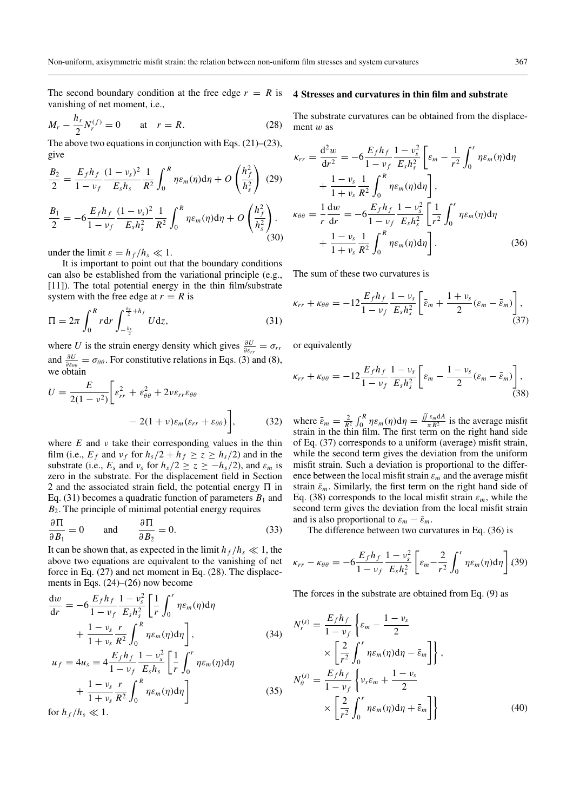The second boundary condition at the free edge  $r = R$  is vanishing of net moment, i.e.,

$$
M_r - \frac{h_s}{2} N_r^{(f)} = 0 \quad \text{at} \quad r = R. \tag{28}
$$

The above two equations in conjunction with Eqs. (21)–(23), give

$$
\frac{B_2}{2} = \frac{E_f h_f}{1 - v_f} \frac{(1 - v_s)^2}{E_s h_s} \frac{1}{R^2} \int_0^R \eta \varepsilon_m(\eta) d\eta + O\left(\frac{h_f^2}{h_s^2}\right)
$$
(29)  

$$
\frac{B_1}{2} = -6 \frac{E_f h_f}{1 - v_f} \frac{(1 - v_s)^2}{E_s h_s^2} \frac{1}{R^2} \int_0^R \eta \varepsilon_m(\eta) d\eta + O\left(\frac{h_f^2}{h_s^2}\right).
$$
(30)

under the limit  $\varepsilon = h_f / h_s \ll 1$ .

It is important to point out that the boundary conditions can also be established from the variational principle (e.g., [11]). The total potential energy in the thin film/substrate system with the free edge at  $r = R$  is

$$
\Pi = 2\pi \int_0^R r dr \int_{-\frac{h_s}{2}}^{\frac{h_s}{2} + h_f} U dz,
$$
\n(31)

where U is the strain energy density which gives  $\frac{\partial U}{\partial \varepsilon_{rr}} = \sigma_{rr}$ and  $\frac{\partial U}{\partial \varepsilon_{\theta\theta}} = \sigma_{\theta\theta}$ . For constitutive relations in Eqs. (3) and (8), we obtain

$$
U = \frac{E}{2(1 - v^2)} \bigg[ \varepsilon_{rr}^2 + \varepsilon_{\theta\theta}^2 + 2v\varepsilon_{rr}\varepsilon_{\theta\theta} - 2(1 + v)\varepsilon_m(\varepsilon_{rr} + \varepsilon_{\theta\theta}) \bigg],
$$
 (32)

where  $E$  and  $\nu$  take their corresponding values in the thin film (i.e.,  $E_f$  and  $v_f$  for  $h_s/2 + h_f \ge z \ge h_s/2$ ) and in the substrate (i.e.,  $E_s$  and  $v_s$  for  $h_s/2 \ge z \ge -h_s/2$ ), and  $\varepsilon_m$  is zero in the substrate. For the displacement field in Section 2 and the associated strain field, the potential energy  $\Pi$  in Eq. (31) becomes a quadratic function of parameters  $B_1$  and  $B<sub>2</sub>$ . The principle of minimal potential energy requires

$$
\frac{\partial \Pi}{\partial B_1} = 0 \quad \text{and} \quad \frac{\partial \Pi}{\partial B_2} = 0. \tag{33}
$$

It can be shown that, as expected in the limit  $h_f / h_s \ll 1$ , the above two equations are equivalent to the vanishing of net force in Eq. (27) and net moment in Eq. (28). The displacements in Eqs. (24)–(26) now become

$$
\frac{dw}{dr} = -6 \frac{E_f h_f}{1 - v_f} \frac{1 - v_s^2}{E_s h_s^2} \left[ \frac{1}{r} \int_0^r \eta \varepsilon_m(\eta) d\eta + \frac{1 - v_s}{1 + v_s} \frac{r}{R^2} \int_0^R \eta \varepsilon_m(\eta) d\eta \right],
$$
\n(34)

$$
u_{f} = 4u_{s} = 4\frac{E_{f}h_{f}}{1 - \nu_{f}} \frac{1 - \nu_{s}^{2}}{E_{s}h_{s}} \left[ \frac{1}{r} \int_{0}^{r} \eta \varepsilon_{m}(\eta) d\eta + \frac{1 - \nu_{s}}{1 + \nu_{s}} \frac{r}{R^{2}} \int_{0}^{R} \eta \varepsilon_{m}(\eta) d\eta \right]
$$
(35)

for  $h_f / h_s \ll 1$ .

## **4 Stresses and curvatures in thin film and substrate**

The substrate curvatures can be obtained from the displacement  $w$  as

$$
\kappa_{rr} = \frac{d^2 w}{dr^2} = -6 \frac{E_f h_f}{1 - v_f} \frac{1 - v_s^2}{E_s h_s^2} \left[ \varepsilon_m - \frac{1}{r^2} \int_0^r \eta \varepsilon_m(\eta) d\eta + \frac{1 - v_s}{1 + v_s} \frac{1}{R^2} \int_0^R \eta \varepsilon_m(\eta) d\eta \right],
$$
  

$$
\kappa_{\theta\theta} = \frac{1}{r} \frac{dw}{dr} = -6 \frac{E_f h_f}{1 - v_f} \frac{1 - v_s^2}{E_s h_s^2} \left[ \frac{1}{r^2} \int_0^r \eta \varepsilon_m(\eta) d\eta + \frac{1 - v_s}{1 + v_s} \frac{1}{R^2} \int_0^R \eta \varepsilon_m(\eta) d\eta \right].
$$
 (36)

The sum of these two curvatures is

$$
\kappa_{rr} + \kappa_{\theta\theta} = -12 \frac{E_f h_f}{1 - \nu_f} \frac{1 - \nu_s}{E_s h_s^2} \left[ \bar{\varepsilon}_m + \frac{1 + \nu_s}{2} (\varepsilon_m - \bar{\varepsilon}_m) \right],
$$
\n(37)

or equivalently

$$
\kappa_{rr} + \kappa_{\theta\theta} = -12 \frac{E_f h_f}{1 - \nu_f} \frac{1 - \nu_s}{E_s h_s^2} \left[ \varepsilon_m - \frac{1 - \nu_s}{2} (\varepsilon_m - \bar{\varepsilon}_m) \right],
$$
\n(38)

where  $\bar{\varepsilon}_m = \frac{2}{R^2} \int_0^R \eta \varepsilon_m(\eta) d\eta = \frac{\int \int \varepsilon_m dA}{\pi R^2}$  is the average misfit strain in the thin film. The first term on the right hand side of Eq. (37) corresponds to a uniform (average) misfit strain, while the second term gives the deviation from the uniform misfit strain. Such a deviation is proportional to the difference between the local misfit strain  $\varepsilon_m$  and the average misfit strain  $\bar{\varepsilon}_m$ . Similarly, the first term on the right hand side of Eq. (38) corresponds to the local misfit strain  $\varepsilon_m$ , while the second term gives the deviation from the local misfit strain and is also proportional to  $\varepsilon_m - \bar{\varepsilon}_m$ .

The difference between two curvatures in Eq. (36) is

$$
\kappa_{rr} - \kappa_{\theta\theta} = -6\frac{E_f h_f}{1 - v_f} \frac{1 - v_s^2}{E_s h_s^2} \left[ \varepsilon_m - \frac{2}{r^2} \int_0^r \eta \varepsilon_m(\eta) d\eta \right] (39)
$$

The forces in the substrate are obtained from Eq. (9) as

$$
N_r^{(s)} = \frac{E_f h_f}{1 - \nu_f} \left\{ \varepsilon_m - \frac{1 - \nu_s}{2} \times \left[ \frac{2}{r^2} \int_0^r \eta \varepsilon_m(\eta) d\eta - \bar{\varepsilon}_m \right] \right\},
$$
  

$$
N_\theta^{(s)} = \frac{E_f h_f}{1 - \nu_f} \left\{ \nu_s \varepsilon_m + \frac{1 - \nu_s}{2} \times \left[ \frac{2}{r^2} \int_0^r \eta \varepsilon_m(\eta) d\eta + \bar{\varepsilon}_m \right] \right\}
$$
(40)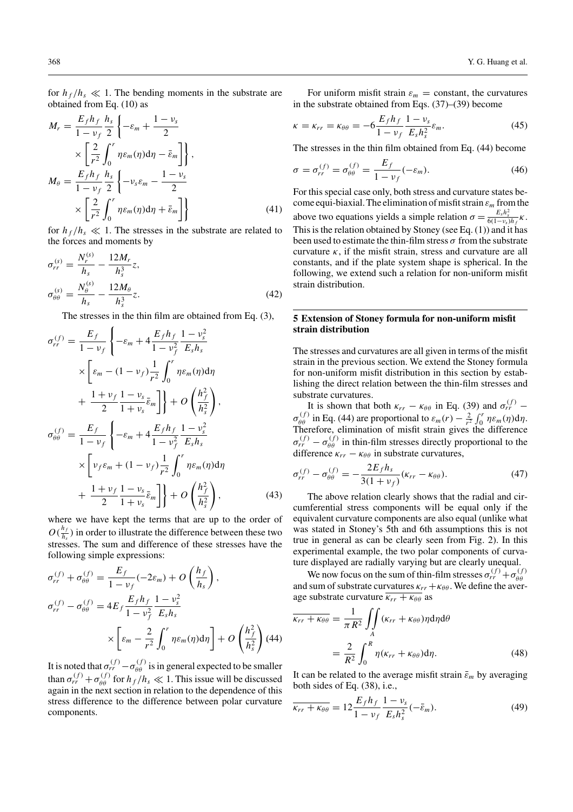for  $h_f / h_s \ll 1$ . The bending moments in the substrate are obtained from Eq. (10) as

$$
M_r = \frac{E_f h_f}{1 - \nu_f} \frac{h_s}{2} \left\{ -\varepsilon_m + \frac{1 - \nu_s}{2} \times \left[ \frac{2}{r^2} \int_0^r \eta \varepsilon_m(\eta) d\eta - \bar{\varepsilon}_m \right] \right\},\
$$
  

$$
M_\theta = \frac{E_f h_f}{1 - \nu_f} \frac{h_s}{2} \left\{ -\nu_s \varepsilon_m - \frac{1 - \nu_s}{2} \times \left[ \frac{2}{r^2} \int_0^r \eta \varepsilon_m(\eta) d\eta + \bar{\varepsilon}_m \right] \right\}
$$
(41)

for  $h_f / h_s \ll 1$ . The stresses in the substrate are related to the forces and moments by

$$
\sigma_{rr}^{(s)} = \frac{N_r^{(s)}}{h_s} - \frac{12M_r}{h_s^3} z,
$$
  
\n
$$
\sigma_{\theta\theta}^{(s)} = \frac{N_{\theta}^{(s)}}{h_s} - \frac{12M_{\theta}}{h_s^3} z.
$$
\n(42)

The stresses in the thin film are obtained from Eq. (3),

$$
\sigma_{rr}^{(f)} = \frac{E_f}{1 - \nu_f} \left\{ -\varepsilon_m + 4 \frac{E_f h_f}{1 - \nu_f^2} \frac{1 - \nu_s^2}{E_s h_s} \times \left[ \varepsilon_m - (1 - \nu_f) \frac{1}{r^2} \int_0^r \eta \varepsilon_m(\eta) d\eta \right. \\ \left. + \frac{1 + \nu_f}{2} \frac{1 - \nu_s}{1 + \nu_s} \bar{\varepsilon}_m \right] \right\} + O\left(\frac{h_f^2}{h_s^2}\right),
$$
\n
$$
\sigma_{\theta\theta}^{(f)} = \frac{E_f}{1 - \nu_f} \left\{ -\varepsilon_m + 4 \frac{E_f h_f}{1 - \nu_f^2} \frac{1 - \nu_s^2}{E_s h_s} \times \left[ \nu_f \varepsilon_m + (1 - \nu_f) \frac{1}{r^2} \int_0^r \eta \varepsilon_m(\eta) d\eta \right. \\ \left. + \frac{1 + \nu_f}{2} \frac{1 - \nu_s}{1 + \nu_s} \bar{\varepsilon}_m \right] \right\} + O\left(\frac{h_f^2}{h_s^2}\right), \tag{43}
$$

where we have kept the terms that are up to the order of  $O(\frac{h_f}{h_s})$  in order to illustrate the difference between these two stresses. The sum and difference of these stresses have the following simple expressions:

$$
\sigma_{rr}^{(f)} + \sigma_{\theta\theta}^{(f)} = \frac{E_f}{1 - \nu_f} (-2\varepsilon_m) + O\left(\frac{h_f}{h_s}\right),
$$
  
\n
$$
\sigma_{rr}^{(f)} - \sigma_{\theta\theta}^{(f)} = 4E_f \frac{E_f h_f}{1 - \nu_f^2} \frac{1 - \nu_s^2}{E_s h_s}
$$
  
\n
$$
\times \left[\varepsilon_m - \frac{2}{r^2} \int_0^r \eta \varepsilon_m(\eta) d\eta\right] + O\left(\frac{h_f^2}{h_s^2}\right)
$$
(44)

It is noted that  $\sigma_{rr}^{(f)} - \sigma_{\theta\theta}^{(f)}$  is in general expected to be smaller than  $\sigma_{rr}^{(f)} + \sigma_{\theta\theta}^{(f)}$  for  $h_f/h_s \ll 1$ . This issue will be discussed again in the next section in relation to the dependence of this stress difference to the difference between polar curvature components.

For uniform misfit strain  $\varepsilon_m$  = constant, the curvatures in the substrate obtained from Eqs. (37)–(39) become

$$
\kappa = \kappa_{rr} = \kappa_{\theta\theta} = -6\frac{E_f h_f}{1 - v_f} \frac{1 - v_s}{E_s h_s^2} \varepsilon_m.
$$
 (45)

The stresses in the thin film obtained from Eq. (44) become

$$
\sigma = \sigma_{rr}^{(f)} = \sigma_{\theta\theta}^{(f)} = \frac{E_f}{1 - \nu_f}(-\varepsilon_m). \tag{46}
$$

For this special case only, both stress and curvature states become equi-biaxial. The elimination of misfit strain  $\varepsilon_m$  from the above two equations yields a simple relation  $\sigma = \frac{E_s h_s^2}{6(1-v_s)h_f} \kappa$ . This is the relation obtained by Stoney (see Eq. (1)) and it has been used to estimate the thin-film stress  $\sigma$  from the substrate curvature  $\kappa$ , if the misfit strain, stress and curvature are all constants, and if the plate system shape is spherical. In the following, we extend such a relation for non-uniform misfit strain distribution.

## **5 Extension of Stoney formula for non-uniform misfit strain distribution**

The stresses and curvatures are all given in terms of the misfit strain in the previous section. We extend the Stoney formula for non-uniform misfit distribution in this section by establishing the direct relation between the thin-film stresses and substrate curvatures.

It is shown that both  $\kappa_{rr} - \kappa_{\theta\theta}$  in Eq. (39) and  $\sigma_{rr}^{(f)}$  –  $\sigma_{\theta\theta}^{(f)}$  in Eq. (44) are proportional to  $\varepsilon_m(r) - \frac{2}{r^2} \int_0^r \eta \varepsilon_m(\eta) d\eta$ . Therefore, elimination of misfit strain gives the difference  $\sigma_{rr}^{(f)} - \sigma_{\theta\theta}^{(f)}$  in thin-film stresses directly proportional to the difference  $\kappa_{rr} - \kappa_{\theta\theta}$  in substrate curvatures,

$$
\sigma_{rr}^{(f)} - \sigma_{\theta\theta}^{(f)} = -\frac{2E_f h_s}{3(1 + \nu_f)} (\kappa_{rr} - \kappa_{\theta\theta}). \tag{47}
$$

The above relation clearly shows that the radial and circumferential stress components will be equal only if the equivalent curvature components are also equal (unlike what was stated in Stoney's 5th and 6th assumptions this is not true in general as can be clearly seen from Fig. 2). In this experimental example, the two polar components of curvature displayed are radially varying but are clearly unequal.

We now focus on the sum of thin-film stresses  $\sigma_{rr}^{(f)} + \sigma_{\theta\theta}^{(f)}$ and sum of substrate curvatures  $\kappa_{rr} + \kappa_{\theta\theta}$ . We define the average substrate curvature  $\overline{\kappa_{rr} + \kappa_{\theta\theta}}$  as

$$
\overline{\kappa_{rr} + \kappa_{\theta\theta}} = \frac{1}{\pi R^2} \iint\limits_{A} (\kappa_{rr} + \kappa_{\theta\theta}) \eta \, d\eta \, d\theta
$$
\n
$$
= \frac{2}{R^2} \int_0^R \eta(\kappa_{rr} + \kappa_{\theta\theta}) \, d\eta. \tag{48}
$$

It can be related to the average misfit strain  $\bar{\varepsilon}_m$  by averaging both sides of Eq. (38), i.e.,

$$
\overline{\kappa_{rr} + \kappa_{\theta\theta}} = 12 \frac{E_f h_f}{1 - \nu_f} \frac{1 - \nu_s}{E_s h_s^2} (-\bar{\varepsilon}_m). \tag{49}
$$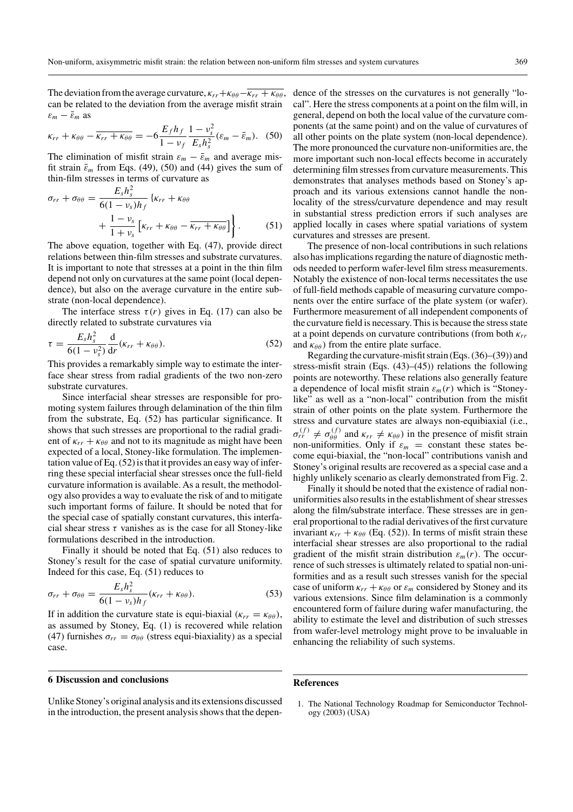The deviation from the average curvature,  $\kappa_{rr}+\kappa_{\theta\theta}-\overline{\kappa_{rr}+\kappa_{\theta\theta}}$ , can be related to the deviation from the average misfit strain  $\varepsilon_m - \bar{\varepsilon}_m$  as

$$
\kappa_{rr} + \kappa_{\theta\theta} - \overline{\kappa_{rr} + \kappa_{\theta\theta}} = -6 \frac{E_f h_f}{1 - \nu_f} \frac{1 - \nu_s^2}{E_s h_s^2} (\varepsilon_m - \bar{\varepsilon}_m). \tag{50}
$$

The elimination of misfit strain  $\varepsilon_m - \bar{\varepsilon}_m$  and average misfit strain  $\bar{\varepsilon}_m$  from Eqs. (49), (50) and (44) gives the sum of thin-film stresses in terms of curvature as

$$
\sigma_{rr} + \sigma_{\theta\theta} = \frac{E_s h_s^2}{6(1 - v_s)h_f} \left\{ \kappa_{rr} + \kappa_{\theta\theta} + \frac{1 - v_s}{1 + v_s} \left[ \kappa_{rr} + \kappa_{\theta\theta} - \overline{\kappa_{rr} + \kappa_{\theta\theta}} \right] \right\}.
$$
 (51)

The above equation, together with Eq. (47), provide direct relations between thin-film stresses and substrate curvatures. It is important to note that stresses at a point in the thin film depend not only on curvatures at the same point (local dependence), but also on the average curvature in the entire substrate (non-local dependence).

The interface stress  $\tau(r)$  gives in Eq. (17) can also be directly related to substrate curvatures via

$$
\tau = \frac{E_s h_s^2}{6(1 - v_s^2)} \frac{d}{dr} (\kappa_{rr} + \kappa_{\theta\theta}).
$$
\n(52)

This provides a remarkably simple way to estimate the interface shear stress from radial gradients of the two non-zero substrate curvatures.

Since interfacial shear stresses are responsible for promoting system failures through delamination of the thin film from the substrate, Eq. (52) has particular significance. It shows that such stresses are proportional to the radial gradient of  $\kappa_{rr} + \kappa_{\theta\theta}$  and not to its magnitude as might have been expected of a local, Stoney-like formulation. The implementation value of Eq. (52) is that it provides an easy way of inferring these special interfacial shear stresses once the full-field curvature information is available. As a result, the methodology also provides a way to evaluate the risk of and to mitigate such important forms of failure. It should be noted that for the special case of spatially constant curvatures, this interfacial shear stress  $\tau$  vanishes as is the case for all Stoney-like formulations described in the introduction.

Finally it should be noted that Eq. (51) also reduces to Stoney's result for the case of spatial curvature uniformity. Indeed for this case, Eq. (51) reduces to

$$
\sigma_{rr} + \sigma_{\theta\theta} = \frac{E_s h_s^2}{6(1 - v_s)h_f} (\kappa_{rr} + \kappa_{\theta\theta}).
$$
\n(53)

If in addition the curvature state is equi-biaxial ( $\kappa_{rr} = \kappa_{\theta\theta}$ ), as assumed by Stoney, Eq. (1) is recovered while relation (47) furnishes  $\sigma_{rr} = \sigma_{\theta\theta}$  (stress equi-biaxiality) as a special case.

#### **6 Discussion and conclusions**

Unlike Stoney's original analysis and its extensions discussed in the introduction, the present analysis shows that the dependence of the stresses on the curvatures is not generally "local". Here the stress components at a point on the film will, in general, depend on both the local value of the curvature components (at the same point) and on the value of curvatures of all other points on the plate system (non-local dependence). The more pronounced the curvature non-uniformities are, the more important such non-local effects become in accurately determining film stresses from curvature measurements. This demonstrates that analyses methods based on Stoney's approach and its various extensions cannot handle the nonlocality of the stress/curvature dependence and may result in substantial stress prediction errors if such analyses are applied locally in cases where spatial variations of system curvatures and stresses are present.

The presence of non-local contributions in such relations also has implications regarding the nature of diagnostic methods needed to perform wafer-level film stress measurements. Notably the existence of non-local terms necessitates the use of full-field methods capable of measuring curvature components over the entire surface of the plate system (or wafer). Furthermore measurement of all independent components of the curvature field is necessary. This is because the stress state at a point depends on curvature contributions (from both  $\kappa_{rr}$ and  $\kappa_{\theta\theta}$ ) from the entire plate surface.

Regarding the curvature-misfit strain (Eqs. (36)–(39)) and stress-misfit strain (Eqs. (43)–(45)) relations the following points are noteworthy. These relations also generally feature a dependence of local misfit strain  $\varepsilon_m(r)$  which is "Stoneylike" as well as a "non-local" contribution from the misfit strain of other points on the plate system. Furthermore the stress and curvature states are always non-equibiaxial (i.e.,  $\sigma_{rr}^{(f)} \neq \sigma_{\theta\theta}^{(f)}$  and  $\kappa_{rr} \neq \kappa_{\theta\theta}$ ) in the presence of misfit strain non-uniformities. Only if  $\varepsilon_m$  = constant these states become equi-biaxial, the "non-local" contributions vanish and Stoney's original results are recovered as a special case and a highly unlikely scenario as clearly demonstrated from Fig. 2.

Finally it should be noted that the existence of radial nonuniformities also results in the establishment of shear stresses along the film/substrate interface. These stresses are in general proportional to the radial derivatives of the first curvature invariant  $\kappa_{rr} + \kappa_{\theta\theta}$  (Eq. (52)). In terms of misfit strain these interfacial shear stresses are also proportional to the radial gradient of the misfit strain distribution  $\varepsilon_m(r)$ . The occurrence of such stresses is ultimately related to spatial non-uniformities and as a result such stresses vanish for the special case of uniform  $\kappa_{rr} + \kappa_{\theta\theta}$  or  $\varepsilon_m$  considered by Stoney and its various extensions. Since film delamination is a commonly encountered form of failure during wafer manufacturing, the ability to estimate the level and distribution of such stresses from wafer-level metrology might prove to be invaluable in enhancing the reliability of such systems.

## **References**

1. The National Technology Roadmap for Semiconductor Technology (2003) (USA)